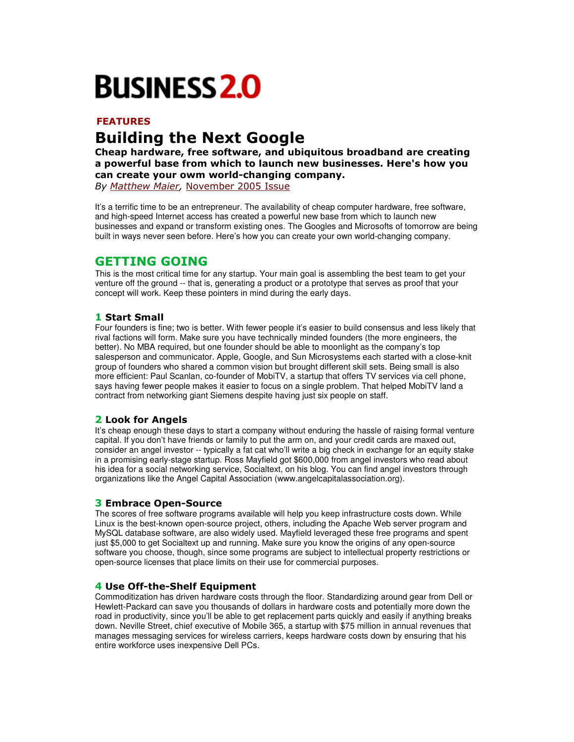# **BUSINESS 2.0**

# **FEATURES**

# **Building the Next Google**

Cheap hardware, free software, and ubiquitous broadband are creating a powerful base from which to launch new businesses. Here's how you can create your owm world-changing company.

By Matthew Maier, November 2005 Issue

It's a terrific time to be an entrepreneur. The availability of cheap computer hardware, free software, and high-speed Internet access has created a powerful new base from which to launch new businesses and expand or transform existing ones. The Googles and Microsofts of tomorrow are being built in ways never seen before. Here's how you can create your own world-changing company.

# **GETTING GOING**

This is the most critical time for any startup. Your main goal is assembling the best team to get your venture off the ground -- that is, generating a product or a prototype that serves as proof that your concept will work. Keep these pointers in mind during the early days.

## **1 Start Small**

Four founders is fine; two is better. With fewer people it's easier to build consensus and less likely that rival factions will form. Make sure you have technically minded founders (the more engineers, the better). No MBA required, but one founder should be able to moonlight as the company's top salesperson and communicator. Apple, Google, and Sun Microsystems each started with a close-knit group of founders who shared a common vision but brought different skill sets. Being small is also more efficient: Paul Scanlan, co-founder of MobiTV, a startup that offers TV services via cell phone, says having fewer people makes it easier to focus on a single problem. That helped MobiTV land a contract from networking giant Siemens despite having just six people on staff.

## 2 Look for Angels

It's cheap enough these days to start a company without enduring the hassle of raising formal venture capital. If you don't have friends or family to put the arm on, and your credit cards are maxed out, consider an angel investor -- typically a fat cat who'll write a big check in exchange for an equity stake in a promising early-stage startup. Ross Mayfield got \$600,000 from angel investors who read about his idea for a social networking service, Socialtext, on his blog. You can find angel investors through organizations like the Angel Capital Association (www.angelcapitalassociation.org).

## **3 Embrace Open-Source**

The scores of free software programs available will help you keep infrastructure costs down. While Linux is the best-known open-source project, others, including the Apache Web server program and MySQL database software, are also widely used. Mayfield leveraged these free programs and spent just \$5,000 to get Socialtext up and running. Make sure you know the origins of any open-source software you choose, though, since some programs are subject to intellectual property restrictions or open-source licenses that place limits on their use for commercial purposes.

#### 4 Use Off-the-Shelf Equipment

Commoditization has driven hardware costs through the floor. Standardizing around gear from Dell or Hewlett-Packard can save you thousands of dollars in hardware costs and potentially more down the road in productivity, since you'll be able to get replacement parts quickly and easily if anything breaks down. Neville Street, chief executive of Mobile 365, a startup with \$75 million in annual revenues that manages messaging services for wireless carriers, keeps hardware costs down by ensuring that his entire workforce uses inexpensive Dell PCs.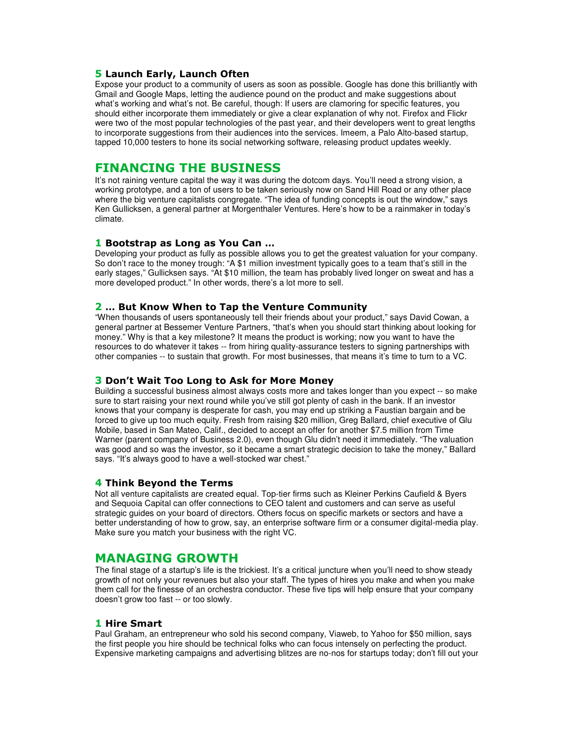#### 5 Launch Early, Launch Often

Expose your product to a community of users as soon as possible. Google has done this brilliantly with Gmail and Google Maps, letting the audience pound on the product and make suggestions about what's working and what's not. Be careful, though: If users are clamoring for specific features, you should either incorporate them immediately or give a clear explanation of why not. Firefox and Flickr were two of the most popular technologies of the past year, and their developers went to great lengths to incorporate suggestions from their audiences into the services. Imeem, a Palo Alto-based startup, tapped 10,000 testers to hone its social networking software, releasing product updates weekly.

# **FINANCING THE BUSINESS**

It's not raining venture capital the way it was during the dotcom days. You'll need a strong vision, a working prototype, and a ton of users to be taken seriously now on Sand Hill Road or any other place where the big venture capitalists congregate. "The idea of funding concepts is out the window," says Ken Gullicksen, a general partner at Morgenthaler Ventures. Here's how to be a rainmaker in today's climate.

#### 1 Bootstrap as Long as You Can ...

Developing your product as fully as possible allows you to get the greatest valuation for your company. So don't race to the money trough: "A \$1 million investment typically goes to a team that's still in the early stages," Gullicksen says. "At \$10 million, the team has probably lived longer on sweat and has a more developed product." In other words, there's a lot more to sell.

#### 2 ... But Know When to Tap the Venture Community

"When thousands of users spontaneously tell their friends about your product," says David Cowan, a general partner at Bessemer Venture Partners, "that's when you should start thinking about looking for money." Why is that a key milestone? It means the product is working; now you want to have the resources to do whatever it takes -- from hiring quality-assurance testers to signing partnerships with other companies -- to sustain that growth. For most businesses, that means it's time to turn to a VC.

#### 3 Don't Wait Too Long to Ask for More Money

Building a successful business almost always costs more and takes longer than you expect -- so make sure to start raising your next round while you've still got plenty of cash in the bank. If an investor knows that your company is desperate for cash, you may end up striking a Faustian bargain and be forced to give up too much equity. Fresh from raising \$20 million, Greg Ballard, chief executive of Glu Mobile, based in San Mateo, Calif., decided to accept an offer for another \$7.5 million from Time Warner (parent company of Business 2.0), even though Glu didn't need it immediately. "The valuation was good and so was the investor, so it became a smart strategic decision to take the money," Ballard says. "It's always good to have a well-stocked war chest."

#### 4 Think Beyond the Terms

Not all venture capitalists are created equal. Top-tier firms such as Kleiner Perkins Caufield & Byers and Sequoia Capital can offer connections to CEO talent and customers and can serve as useful strategic guides on your board of directors. Others focus on specific markets or sectors and have a better understanding of how to grow, say, an enterprise software firm or a consumer digital-media play. Make sure you match your business with the right VC.

## **MANAGING GROWTH**

The final stage of a startup's life is the trickiest. It's a critical juncture when you'll need to show steady growth of not only your revenues but also your staff. The types of hires you make and when you make them call for the finesse of an orchestra conductor. These five tips will help ensure that your company doesn't grow too fast -- or too slowly.

#### **1 Hire Smart**

Paul Graham, an entrepreneur who sold his second company, Viaweb, to Yahoo for \$50 million, says the first people you hire should be technical folks who can focus intensely on perfecting the product. Expensive marketing campaigns and advertising blitzes are no-nos for startups today; don't fill out your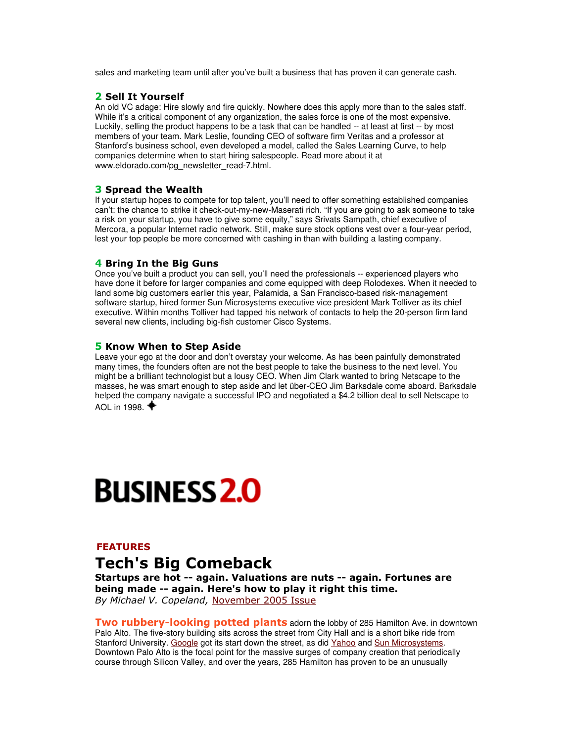sales and marketing team until after you've built a business that has proven it can generate cash.

#### 2 Sell It Yourself

An old VC adage: Hire slowly and fire quickly. Nowhere does this apply more than to the sales staff. While it's a critical component of any organization, the sales force is one of the most expensive. Luckily, selling the product happens to be a task that can be handled -- at least at first -- by most members of your team. Mark Leslie, founding CEO of software firm Veritas and a professor at Stanford's business school, even developed a model, called the Sales Learning Curve, to help companies determine when to start hiring salespeople. Read more about it at www.eldorado.com/pg\_newsletter\_read-7.html.

#### **3 Spread the Wealth**

If your startup hopes to compete for top talent, you'll need to offer something established companies can't: the chance to strike it check-out-my-new-Maserati rich. "If you are going to ask someone to take a risk on your startup, you have to give some equity," says Srivats Sampath, chief executive of Mercora, a popular Internet radio network. Still, make sure stock options vest over a four-year period, lest your top people be more concerned with cashing in than with building a lasting company.

#### 4 Bring In the Big Guns

Once you've built a product you can sell, you'll need the professionals -- experienced players who have done it before for larger companies and come equipped with deep Rolodexes. When it needed to land some big customers earlier this year, Palamida, a San Francisco-based risk-management software startup, hired former Sun Microsystems executive vice president Mark Tolliver as its chief executive. Within months Tolliver had tapped his network of contacts to help the 20-person firm land several new clients, including big-fish customer Cisco Systems.

#### 5 Know When to Step Aside

Leave your ego at the door and don't overstay your welcome. As has been painfully demonstrated many times, the founders often are not the best people to take the business to the next level. You might be a brilliant technologist but a lousy CEO. When Jim Clark wanted to bring Netscape to the masses, he was smart enough to step aside and let über-CEO Jim Barksdale come aboard. Barksdale helped the company navigate a successful IPO and negotiated a \$4.2 billion deal to sell Netscape to AOL in 1998.  $\blacklozenge$ 

# **BUSINESS 2.0**

#### **FEATURES**

# Tech's Big Comeback

Startups are hot -- again. Valuations are nuts -- again. Fortunes are being made -- again. Here's how to play it right this time. By Michael V. Copeland, November 2005 Issue

Two rubbery-looking potted plants adorn the lobby of 285 Hamilton Ave. in downtown Palo Alto. The five-story building sits across the street from City Hall and is a short bike ride from Stanford University. Google got its start down the street, as did Yahoo and Sun Microsystems. Downtown Palo Alto is the focal point for the massive surges of company creation that periodically course through Silicon Valley, and over the years, 285 Hamilton has proven to be an unusually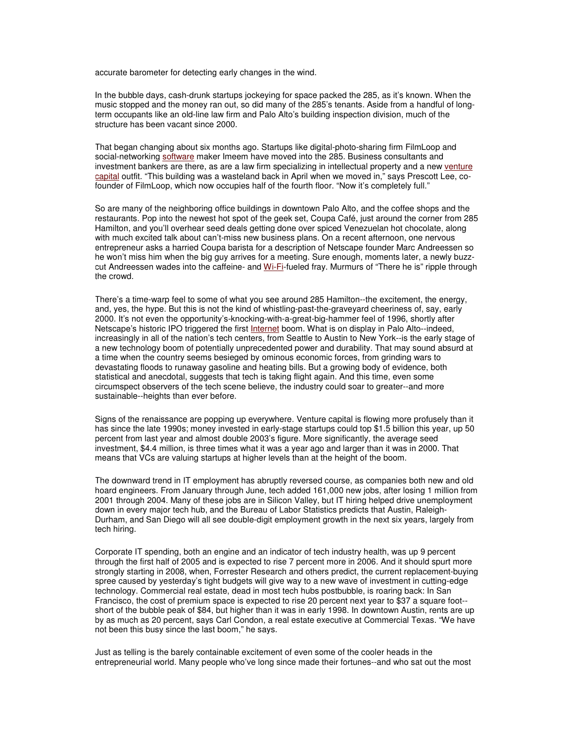accurate barometer for detecting early changes in the wind.

In the bubble days, cash-drunk startups jockeying for space packed the 285, as it's known. When the music stopped and the money ran out, so did many of the 285's tenants. Aside from a handful of longterm occupants like an old-line law firm and Palo Alto's building inspection division, much of the structure has been vacant since 2000.

That began changing about six months ago. Startups like digital-photo-sharing firm FilmLoop and social-networking software maker Imeem have moved into the 285. Business consultants and investment bankers are there, as are a law firm specializing in intellectual property and a new venture capital outfit. "This building was a wasteland back in April when we moved in," says Prescott Lee, cofounder of FilmLoop, which now occupies half of the fourth floor. "Now it's completely full."

So are many of the neighboring office buildings in downtown Palo Alto, and the coffee shops and the restaurants. Pop into the newest hot spot of the geek set, Coupa Café, just around the corner from 285 Hamilton, and you'll overhear seed deals getting done over spiced Venezuelan hot chocolate, along with much excited talk about can't-miss new business plans. On a recent afternoon, one nervous entrepreneur asks a harried Coupa barista for a description of Netscape founder Marc Andreessen so he won't miss him when the big guy arrives for a meeting. Sure enough, moments later, a newly buzzcut Andreessen wades into the caffeine- and Wi-Fi-fueled fray. Murmurs of "There he is" ripple through the crowd.

There's a time-warp feel to some of what you see around 285 Hamilton--the excitement, the energy, and, yes, the hype. But this is not the kind of whistling-past-the-graveyard cheeriness of, say, early 2000. It's not even the opportunity's-knocking-with-a-great-big-hammer feel of 1996, shortly after Netscape's historic IPO triggered the first Internet boom. What is on display in Palo Alto--indeed, increasingly in all of the nation's tech centers, from Seattle to Austin to New York--is the early stage of a new technology boom of potentially unprecedented power and durability. That may sound absurd at a time when the country seems besieged by ominous economic forces, from grinding wars to devastating floods to runaway gasoline and heating bills. But a growing body of evidence, both statistical and anecdotal, suggests that tech is taking flight again. And this time, even some circumspect observers of the tech scene believe, the industry could soar to greater--and more sustainable--heights than ever before.

Signs of the renaissance are popping up everywhere. Venture capital is flowing more profusely than it has since the late 1990s; money invested in early-stage startups could top \$1.5 billion this year, up 50 percent from last year and almost double 2003's figure. More significantly, the average seed investment, \$4.4 million, is three times what it was a year ago and larger than it was in 2000. That means that VCs are valuing startups at higher levels than at the height of the boom.

The downward trend in IT employment has abruptly reversed course, as companies both new and old hoard engineers. From January through June, tech added 161,000 new jobs, after losing 1 million from 2001 through 2004. Many of these jobs are in Silicon Valley, but IT hiring helped drive unemployment down in every major tech hub, and the Bureau of Labor Statistics predicts that Austin, Raleigh-Durham, and San Diego will all see double-digit employment growth in the next six years, largely from tech hiring.

Corporate IT spending, both an engine and an indicator of tech industry health, was up 9 percent through the first half of 2005 and is expected to rise 7 percent more in 2006. And it should spurt more strongly starting in 2008, when, Forrester Research and others predict, the current replacement-buying spree caused by yesterday's tight budgets will give way to a new wave of investment in cutting-edge technology. Commercial real estate, dead in most tech hubs postbubble, is roaring back: In San Francisco, the cost of premium space is expected to rise 20 percent next year to \$37 a square foot- short of the bubble peak of \$84, but higher than it was in early 1998. In downtown Austin, rents are up by as much as 20 percent, says Carl Condon, a real estate executive at Commercial Texas. "We have not been this busy since the last boom," he says.

Just as telling is the barely containable excitement of even some of the cooler heads in the entrepreneurial world. Many people who've long since made their fortunes--and who sat out the most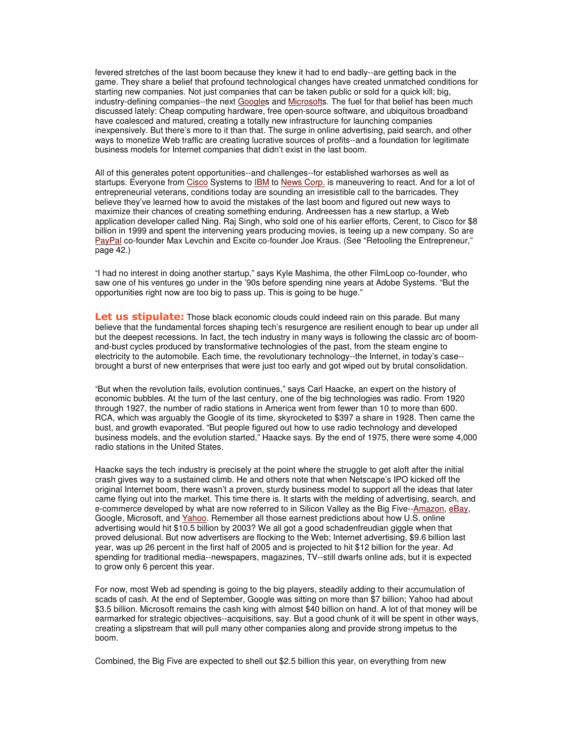fevered stretches of the last boom because they knew it had to end badly--are getting back in the game. They share a belief that profound technological changes have created unmatched conditions for starting new companies. Not just companies that can be taken public or sold for a quick kill; big, industry-defining companies--the next Googles and Microsofts. The fuel for that belief has been much discussed lately: Cheap computing hardware, free open-source software, and ubiquitous broadband have coalesced and matured, creating a totally new infrastructure for launching companies inexpensively. But there's more to it than that. The surge in online advertising, paid search, and other ways to monetize Web traffic are creating lucrative sources of profits--and a foundation for legitimate business models for Internet companies that didn't exist in the last boom.

All of this generates potent opportunities--and challenges--for established warhorses as well as startups. Everyone from Cisco Systems to IBM to News Corp. is maneuvering to react. And for a lot of entrepreneurial veterans, conditions today are sounding an irresistible call to the barricades. They believe they've learned how to avoid the mistakes of the last boom and figured out new ways to maximize their chances of creating something enduring. Andreessen has a new startup, a Web application developer called Ning. Raj Singh, who sold one of his earlier efforts, Cerent, to Cisco for \$8 billion in 1999 and spent the intervening years producing movies, is teeing up a new company. So are PayPal co-founder Max Levchin and Excite co-founder Joe Kraus. (See "Retooling the Entrepreneur," page 42.)

"I had no interest in doing another startup," says Kyle Mashima, the other FilmLoop co-founder, who saw one of his ventures go under in the '90s before spending nine years at Adobe Systems. "But the opportunities right now are too big to pass up. This is going to be huge."

Let us stipulate: Those black economic clouds could indeed rain on this parade. But many believe that the fundamental forces shaping tech's resurgence are resilient enough to bear up under all but the deepest recessions. In fact, the tech industry in many ways is following the classic arc of boomand-bust cycles produced by transformative technologies of the past, from the steam engine to electricity to the automobile. Each time, the revolutionary technology--the Internet, in today's case- brought a burst of new enterprises that were just too early and got wiped out by brutal consolidation.

"But when the revolution fails, evolution continues," says Carl Haacke, an expert on the history of economic bubbles. At the turn of the last century, one of the big technologies was radio. From 1920 through 1927, the number of radio stations in America went from fewer than 10 to more than 600. RCA, which was arguably the Google of its time, skyrocketed to \$397 a share in 1928. Then came the bust, and growth evaporated. "But people figured out how to use radio technology and developed business models, and the evolution started," Haacke says. By the end of 1975, there were some 4,000 radio stations in the United States.

Haacke says the tech industry is precisely at the point where the struggle to get aloft after the initial crash gives way to a sustained climb. He and others note that when Netscape's IPO kicked off the original Internet boom, there wasn't a proven, sturdy business model to support all the ideas that later came flying out into the market. This time there is. It starts with the melding of advertising, search, and e-commerce developed by what are now referred to in Silicon Valley as the Big Five--Amazon, eBay, Google, Microsoft, and Yahoo. Remember all those earnest predictions about how U.S. online advertising would hit \$10.5 billion by 2003? We all got a good schadenfreudian giggle when that proved delusional. But now advertisers are flocking to the Web; Internet advertising, \$9.6 billion last year, was up 26 percent in the first half of 2005 and is projected to hit \$12 billion for the year. Ad spending for traditional media--newspapers, magazines, TV--still dwarfs online ads, but it is expected to grow only 6 percent this year.

For now, most Web ad spending is going to the big players, steadily adding to their accumulation of scads of cash. At the end of September, Google was sitting on more than \$7 billion; Yahoo had about \$3.5 billion. Microsoft remains the cash king with almost \$40 billion on hand. A lot of that money will be earmarked for strategic objectives--acquisitions, say. But a good chunk of it will be spent in other ways, creating a slipstream that will pull many other companies along and provide strong impetus to the boom.

Combined, the Big Five are expected to shell out \$2.5 billion this year, on everything from new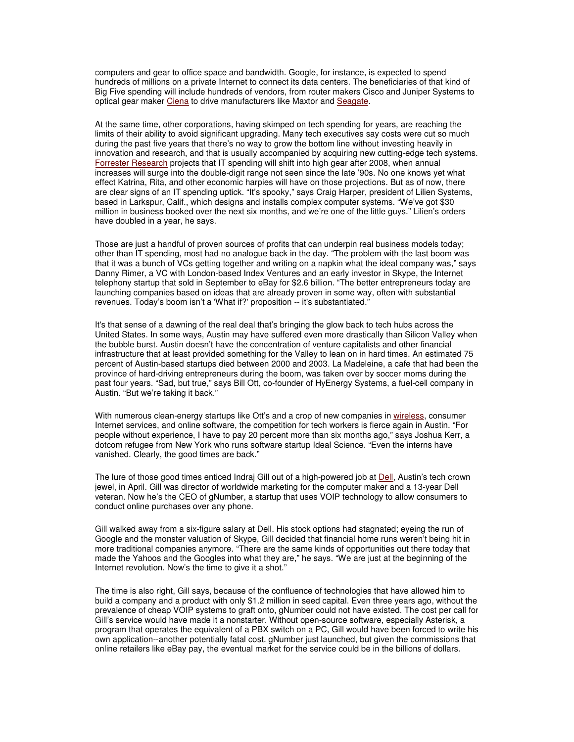computers and gear to office space and bandwidth. Google, for instance, is expected to spend hundreds of millions on a private Internet to connect its data centers. The beneficiaries of that kind of Big Five spending will include hundreds of vendors, from router makers Cisco and Juniper Systems to optical gear maker Ciena to drive manufacturers like Maxtor and Seagate.

At the same time, other corporations, having skimped on tech spending for years, are reaching the limits of their ability to avoid significant upgrading. Many tech executives say costs were cut so much during the past five years that there's no way to grow the bottom line without investing heavily in innovation and research, and that is usually accompanied by acquiring new cutting-edge tech systems. Forrester Research projects that IT spending will shift into high gear after 2008, when annual increases will surge into the double-digit range not seen since the late '90s. No one knows yet what effect Katrina, Rita, and other economic harpies will have on those projections. But as of now, there are clear signs of an IT spending uptick. "It's spooky," says Craig Harper, president of Lilien Systems, based in Larkspur, Calif., which designs and installs complex computer systems. "We've got \$30 million in business booked over the next six months, and we're one of the little guys." Lilien's orders have doubled in a year, he says.

Those are just a handful of proven sources of profits that can underpin real business models today; other than IT spending, most had no analogue back in the day. "The problem with the last boom was that it was a bunch of VCs getting together and writing on a napkin what the ideal company was," says Danny Rimer, a VC with London-based Index Ventures and an early investor in Skype, the Internet telephony startup that sold in September to eBay for \$2.6 billion. "The better entrepreneurs today are launching companies based on ideas that are already proven in some way, often with substantial revenues. Today's boom isn't a 'What if?' proposition -- it's substantiated."

It's that sense of a dawning of the real deal that's bringing the glow back to tech hubs across the United States. In some ways, Austin may have suffered even more drastically than Silicon Valley when the bubble burst. Austin doesn't have the concentration of venture capitalists and other financial infrastructure that at least provided something for the Valley to lean on in hard times. An estimated 75 percent of Austin-based startups died between 2000 and 2003. La Madeleine, a cafe that had been the province of hard-driving entrepreneurs during the boom, was taken over by soccer moms during the past four years. "Sad, but true," says Bill Ott, co-founder of HyEnergy Systems, a fuel-cell company in Austin. "But we're taking it back."

With numerous clean-energy startups like Ott's and a crop of new companies in wireless, consumer Internet services, and online software, the competition for tech workers is fierce again in Austin. "For people without experience, I have to pay 20 percent more than six months ago," says Joshua Kerr, a dotcom refugee from New York who runs software startup Ideal Science. "Even the interns have vanished. Clearly, the good times are back."

The lure of those good times enticed Indraj Gill out of a high-powered job at Dell, Austin's tech crown jewel, in April. Gill was director of worldwide marketing for the computer maker and a 13-year Dell veteran. Now he's the CEO of gNumber, a startup that uses VOIP technology to allow consumers to conduct online purchases over any phone.

Gill walked away from a six-figure salary at Dell. His stock options had stagnated; eyeing the run of Google and the monster valuation of Skype, Gill decided that financial home runs weren't being hit in more traditional companies anymore. "There are the same kinds of opportunities out there today that made the Yahoos and the Googles into what they are," he says. "We are just at the beginning of the Internet revolution. Now's the time to give it a shot."

The time is also right, Gill says, because of the confluence of technologies that have allowed him to build a company and a product with only \$1.2 million in seed capital. Even three years ago, without the prevalence of cheap VOIP systems to graft onto, gNumber could not have existed. The cost per call for Gill's service would have made it a nonstarter. Without open-source software, especially Asterisk, a program that operates the equivalent of a PBX switch on a PC, Gill would have been forced to write his own application--another potentially fatal cost. gNumber just launched, but given the commissions that online retailers like eBay pay, the eventual market for the service could be in the billions of dollars.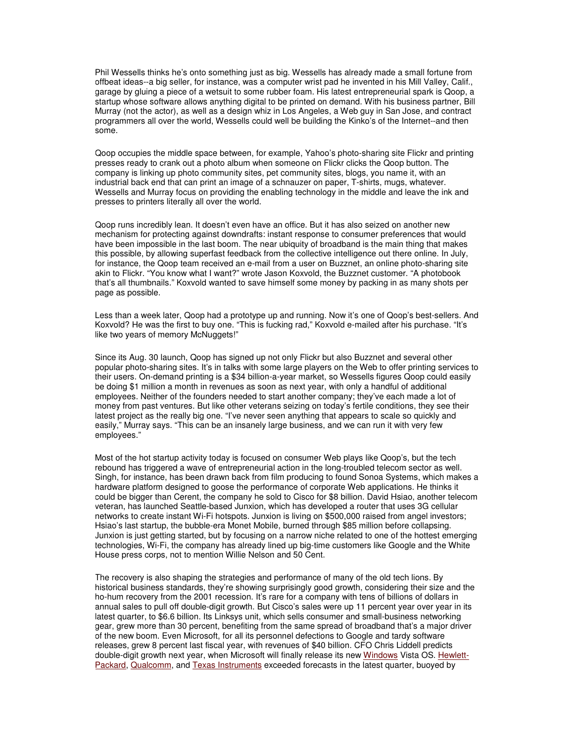Phil Wessells thinks he's onto something just as big. Wessells has already made a small fortune from offbeat ideas--a big seller, for instance, was a computer wrist pad he invented in his Mill Valley, Calif., garage by gluing a piece of a wetsuit to some rubber foam. His latest entrepreneurial spark is Qoop, a startup whose software allows anything digital to be printed on demand. With his business partner, Bill Murray (not the actor), as well as a design whiz in Los Angeles, a Web guy in San Jose, and contract programmers all over the world, Wessells could well be building the Kinko's of the Internet--and then some.

Qoop occupies the middle space between, for example, Yahoo's photo-sharing site Flickr and printing presses ready to crank out a photo album when someone on Flickr clicks the Qoop button. The company is linking up photo community sites, pet community sites, blogs, you name it, with an industrial back end that can print an image of a schnauzer on paper, T-shirts, mugs, whatever. Wessells and Murray focus on providing the enabling technology in the middle and leave the ink and presses to printers literally all over the world.

Qoop runs incredibly lean. It doesn't even have an office. But it has also seized on another new mechanism for protecting against downdrafts: instant response to consumer preferences that would have been impossible in the last boom. The near ubiquity of broadband is the main thing that makes this possible, by allowing superfast feedback from the collective intelligence out there online. In July, for instance, the Qoop team received an e-mail from a user on Buzznet, an online photo-sharing site akin to Flickr. "You know what I want?" wrote Jason Koxvold, the Buzznet customer. "A photobook that's all thumbnails." Koxvold wanted to save himself some money by packing in as many shots per page as possible.

Less than a week later, Qoop had a prototype up and running. Now it's one of Qoop's best-sellers. And Koxvold? He was the first to buy one. "This is fucking rad," Koxvold e-mailed after his purchase. "It's like two years of memory McNuggets!"

Since its Aug. 30 launch, Qoop has signed up not only Flickr but also Buzznet and several other popular photo-sharing sites. It's in talks with some large players on the Web to offer printing services to their users. On-demand printing is a \$34 billion-a-year market, so Wessells figures Qoop could easily be doing \$1 million a month in revenues as soon as next year, with only a handful of additional employees. Neither of the founders needed to start another company; they've each made a lot of money from past ventures. But like other veterans seizing on today's fertile conditions, they see their latest project as the really big one. "I've never seen anything that appears to scale so quickly and easily," Murray says. "This can be an insanely large business, and we can run it with very few employees."

Most of the hot startup activity today is focused on consumer Web plays like Qoop's, but the tech rebound has triggered a wave of entrepreneurial action in the long-troubled telecom sector as well. Singh, for instance, has been drawn back from film producing to found Sonoa Systems, which makes a hardware platform designed to goose the performance of corporate Web applications. He thinks it could be bigger than Cerent, the company he sold to Cisco for \$8 billion. David Hsiao, another telecom veteran, has launched Seattle-based Junxion, which has developed a router that uses 3G cellular networks to create instant Wi-Fi hotspots. Junxion is living on \$500,000 raised from angel investors; Hsiao's last startup, the bubble-era Monet Mobile, burned through \$85 million before collapsing. Junxion is just getting started, but by focusing on a narrow niche related to one of the hottest emerging technologies, Wi-Fi, the company has already lined up big-time customers like Google and the White House press corps, not to mention Willie Nelson and 50 Cent.

The recovery is also shaping the strategies and performance of many of the old tech lions. By historical business standards, they're showing surprisingly good growth, considering their size and the ho-hum recovery from the 2001 recession. It's rare for a company with tens of billions of dollars in annual sales to pull off double-digit growth. But Cisco's sales were up 11 percent year over year in its latest quarter, to \$6.6 billion. Its Linksys unit, which sells consumer and small-business networking gear, grew more than 30 percent, benefiting from the same spread of broadband that's a major driver of the new boom. Even Microsoft, for all its personnel defections to Google and tardy software releases, grew 8 percent last fiscal year, with revenues of \$40 billion. CFO Chris Liddell predicts double-digit growth next year, when Microsoft will finally release its new Windows Vista OS. Hewlett-Packard, Qualcomm, and Texas Instruments exceeded forecasts in the latest quarter, buoyed by